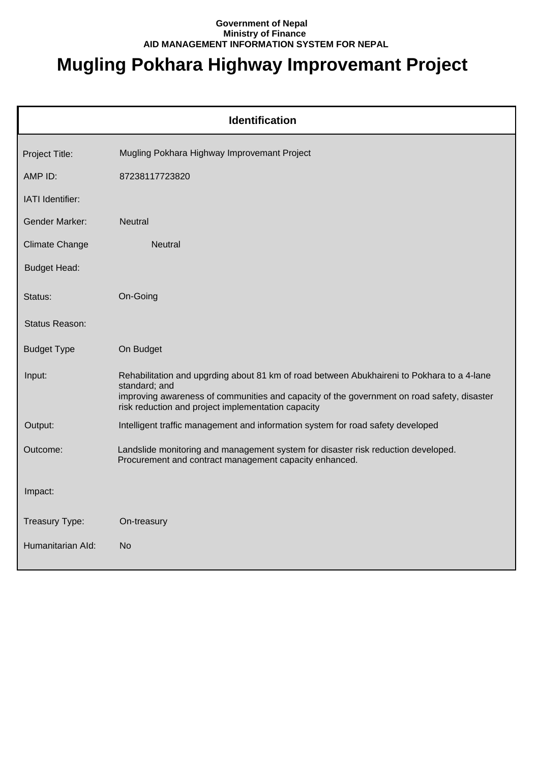## **Government of Nepal Ministry of Finance AID MANAGEMENT INFORMATION SYSTEM FOR NEPAL**

## **Mugling Pokhara Highway Improvemant Project**

| <b>Identification</b> |                                                                                                                                                                                                                                                                 |  |  |
|-----------------------|-----------------------------------------------------------------------------------------------------------------------------------------------------------------------------------------------------------------------------------------------------------------|--|--|
| Project Title:        | Mugling Pokhara Highway Improvemant Project                                                                                                                                                                                                                     |  |  |
| AMP ID:               | 87238117723820                                                                                                                                                                                                                                                  |  |  |
| IATI Identifier:      |                                                                                                                                                                                                                                                                 |  |  |
| <b>Gender Marker:</b> | <b>Neutral</b>                                                                                                                                                                                                                                                  |  |  |
| <b>Climate Change</b> | <b>Neutral</b>                                                                                                                                                                                                                                                  |  |  |
| <b>Budget Head:</b>   |                                                                                                                                                                                                                                                                 |  |  |
| Status:               | On-Going                                                                                                                                                                                                                                                        |  |  |
| Status Reason:        |                                                                                                                                                                                                                                                                 |  |  |
| <b>Budget Type</b>    | On Budget                                                                                                                                                                                                                                                       |  |  |
| Input:                | Rehabilitation and upgrding about 81 km of road between Abukhaireni to Pokhara to a 4-lane<br>standard; and<br>improving awareness of communities and capacity of the government on road safety, disaster<br>risk reduction and project implementation capacity |  |  |
| Output:               | Intelligent traffic management and information system for road safety developed                                                                                                                                                                                 |  |  |
| Outcome:              | Landslide monitoring and management system for disaster risk reduction developed.<br>Procurement and contract management capacity enhanced.                                                                                                                     |  |  |
| Impact:               |                                                                                                                                                                                                                                                                 |  |  |
| Treasury Type:        | On-treasury                                                                                                                                                                                                                                                     |  |  |
| Humanitarian Ald:     | <b>No</b>                                                                                                                                                                                                                                                       |  |  |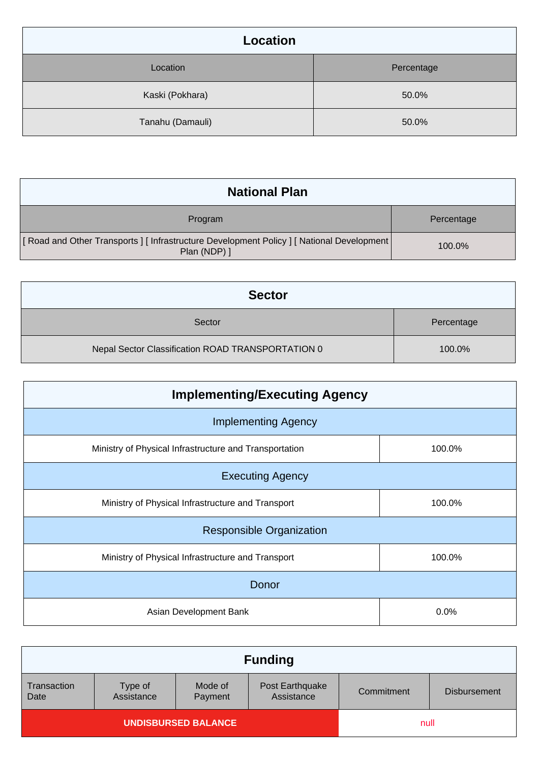| Location         |            |
|------------------|------------|
| Location         | Percentage |
| Kaski (Pokhara)  | 50.0%      |
| Tanahu (Damauli) | 50.0%      |

| <b>National Plan</b>                                                                                  |            |
|-------------------------------------------------------------------------------------------------------|------------|
| Program                                                                                               | Percentage |
| [Road and Other Transports] [Infrastructure Development Policy] [National Development<br>Plan (NDP) ] | 100.0%     |

| <b>Sector</b>                                     |            |
|---------------------------------------------------|------------|
| Sector                                            | Percentage |
| Nepal Sector Classification ROAD TRANSPORTATION 0 | 100.0%     |

| <b>Implementing/Executing Agency</b>                   |        |
|--------------------------------------------------------|--------|
| <b>Implementing Agency</b>                             |        |
| Ministry of Physical Infrastructure and Transportation | 100.0% |
| <b>Executing Agency</b>                                |        |
| Ministry of Physical Infrastructure and Transport      | 100.0% |
| <b>Responsible Organization</b>                        |        |
| Ministry of Physical Infrastructure and Transport      | 100.0% |
| Donor                                                  |        |
| Asian Development Bank                                 | 0.0%   |

|                            |                       |                    | <b>Funding</b>                |            |                     |
|----------------------------|-----------------------|--------------------|-------------------------------|------------|---------------------|
| Transaction<br>Date        | Type of<br>Assistance | Mode of<br>Payment | Post Earthquake<br>Assistance | Commitment | <b>Disbursement</b> |
| <b>UNDISBURSED BALANCE</b> |                       |                    | null                          |            |                     |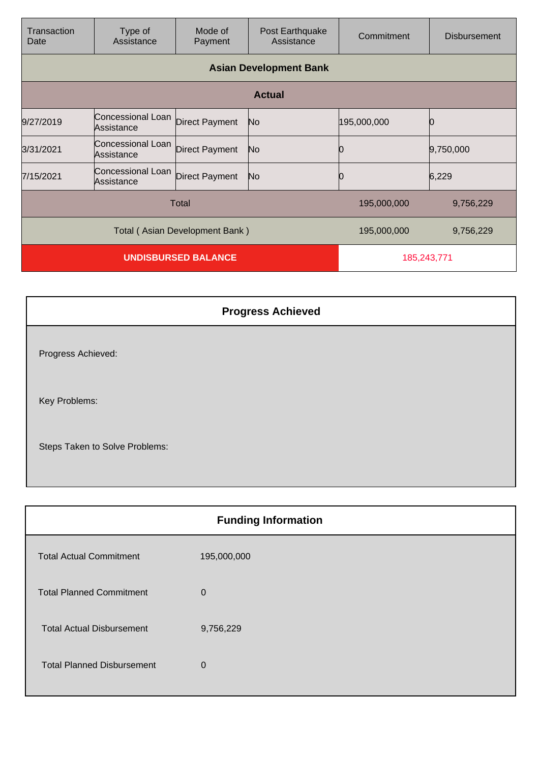| Transaction<br>Date            | Type of<br>Assistance           | Mode of<br>Payment    | Post Earthquake<br>Assistance | Commitment  | <b>Disbursement</b> |
|--------------------------------|---------------------------------|-----------------------|-------------------------------|-------------|---------------------|
|                                |                                 |                       | <b>Asian Development Bank</b> |             |                     |
|                                |                                 |                       | <b>Actual</b>                 |             |                     |
| 9/27/2019                      | Concessional Loan<br>Assistance | <b>Direct Payment</b> | No                            | 195,000,000 |                     |
| 3/31/2021                      | Concessional Loan<br>Assistance | Direct Payment        | No                            |             | 9,750,000           |
| 7/15/2021                      | Concessional Loan<br>Assistance | <b>Direct Payment</b> | No                            |             | 6,229               |
| Total                          |                                 |                       | 195,000,000                   | 9,756,229   |                     |
| Total (Asian Development Bank) |                                 |                       | 195,000,000                   | 9,756,229   |                     |
| <b>UNDISBURSED BALANCE</b>     |                                 |                       | 185,243,771                   |             |                     |

| <b>Progress Achieved</b>       |  |
|--------------------------------|--|
| Progress Achieved:             |  |
| Key Problems:                  |  |
| Steps Taken to Solve Problems: |  |

|                                   | <b>Funding Information</b> |
|-----------------------------------|----------------------------|
| <b>Total Actual Commitment</b>    | 195,000,000                |
| <b>Total Planned Commitment</b>   | $\mathbf 0$                |
| <b>Total Actual Disbursement</b>  | 9,756,229                  |
| <b>Total Planned Disbursement</b> | $\Omega$                   |
|                                   |                            |